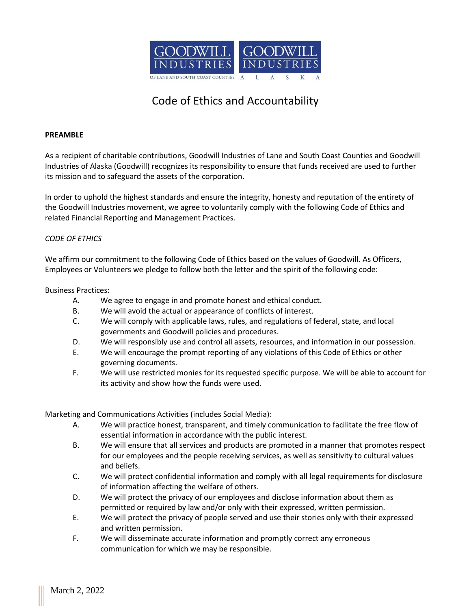

# Code of Ethics and Accountability

#### **PREAMBLE**

As a recipient of charitable contributions, Goodwill Industries of Lane and South Coast Counties and Goodwill Industries of Alaska (Goodwill) recognizes its responsibility to ensure that funds received are used to further its mission and to safeguard the assets of the corporation.

In order to uphold the highest standards and ensure the integrity, honesty and reputation of the entirety of the Goodwill Industries movement, we agree to voluntarily comply with the following Code of Ethics and related Financial Reporting and Management Practices.

#### *CODE OF ETHICS*

We affirm our commitment to the following Code of Ethics based on the values of Goodwill. As Officers, Employees or Volunteers we pledge to follow both the letter and the spirit of the following code:

#### Business Practices:

- A. We agree to engage in and promote honest and ethical conduct.
- B. We will avoid the actual or appearance of conflicts of interest.
- C. We will comply with applicable laws, rules, and regulations of federal, state, and local governments and Goodwill policies and procedures.
- D. We will responsibly use and control all assets, resources, and information in our possession.
- E. We will encourage the prompt reporting of any violations of this Code of Ethics or other governing documents.
- F. We will use restricted monies for its requested specific purpose. We will be able to account for its activity and show how the funds were used.

Marketing and Communications Activities (includes Social Media):

- A. We will practice honest, transparent, and timely communication to facilitate the free flow of essential information in accordance with the public interest.
- B. We will ensure that all services and products are promoted in a manner that promotes respect for our employees and the people receiving services, as well as sensitivity to cultural values and beliefs.
- C. We will protect confidential information and comply with all legal requirements for disclosure of information affecting the welfare of others.
- D. We will protect the privacy of our employees and disclose information about them as permitted or required by law and/or only with their expressed, written permission.
- E. We will protect the privacy of people served and use their stories only with their expressed and written permission.
- F. We will disseminate accurate information and promptly correct any erroneous communication for which we may be responsible.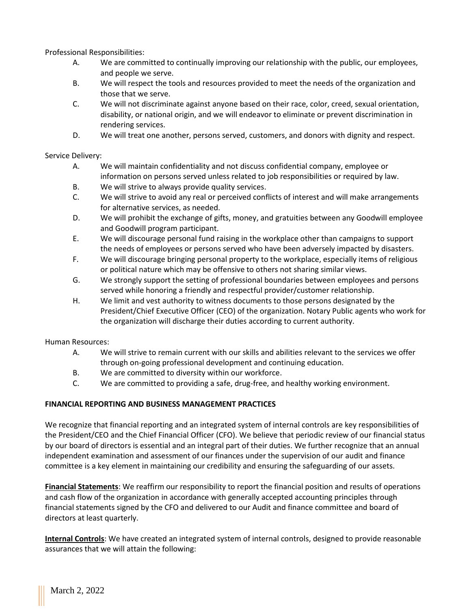Professional Responsibilities:

- A. We are committed to continually improving our relationship with the public, our employees, and people we serve.
- B. We will respect the tools and resources provided to meet the needs of the organization and those that we serve.
- C. We will not discriminate against anyone based on their race, color, creed, sexual orientation, disability, or national origin, and we will endeavor to eliminate or prevent discrimination in rendering services.
- D. We will treat one another, persons served, customers, and donors with dignity and respect.

Service Delivery:

- A. We will maintain confidentiality and not discuss confidential company, employee or information on persons served unless related to job responsibilities or required by law.
- B. We will strive to always provide quality services.
- C. We will strive to avoid any real or perceived conflicts of interest and will make arrangements for alternative services, as needed.
- D. We will prohibit the exchange of gifts, money, and gratuities between any Goodwill employee and Goodwill program participant.
- E. We will discourage personal fund raising in the workplace other than campaigns to support the needs of employees or persons served who have been adversely impacted by disasters.
- F. We will discourage bringing personal property to the workplace, especially items of religious or political nature which may be offensive to others not sharing similar views.
- G. We strongly support the setting of professional boundaries between employees and persons served while honoring a friendly and respectful provider/customer relationship.
- H. We limit and vest authority to witness documents to those persons designated by the President/Chief Executive Officer (CEO) of the organization. Notary Public agents who work for the organization will discharge their duties according to current authority.

Human Resources:

- A. We will strive to remain current with our skills and abilities relevant to the services we offer through on-going professional development and continuing education.
- B. We are committed to diversity within our workforce.
- C. We are committed to providing a safe, drug-free, and healthy working environment.

## **FINANCIAL REPORTING AND BUSINESS MANAGEMENT PRACTICES**

We recognize that financial reporting and an integrated system of internal controls are key responsibilities of the President/CEO and the Chief Financial Officer (CFO). We believe that periodic review of our financial status by our board of directors is essential and an integral part of their duties. We further recognize that an annual independent examination and assessment of our finances under the supervision of our audit and finance committee is a key element in maintaining our credibility and ensuring the safeguarding of our assets.

**Financial Statements**: We reaffirm our responsibility to report the financial position and results of operations and cash flow of the organization in accordance with generally accepted accounting principles through financial statements signed by the CFO and delivered to our Audit and finance committee and board of directors at least quarterly.

**Internal Controls**: We have created an integrated system of internal controls, designed to provide reasonable assurances that we will attain the following: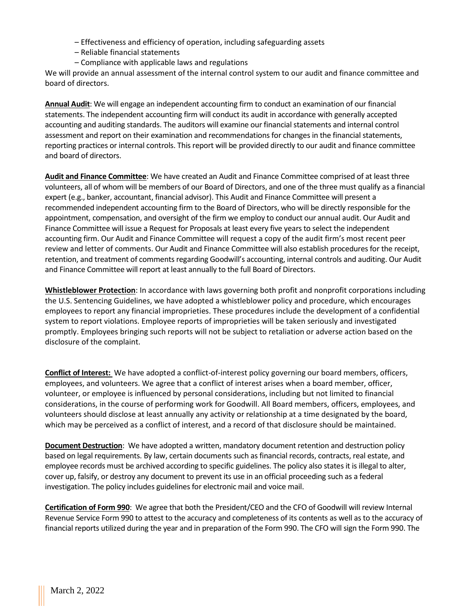- Effectiveness and efficiency of operation, including safeguarding assets
- Reliable financial statements
- Compliance with applicable laws and regulations

We will provide an annual assessment of the internal control system to our audit and finance committee and board of directors.

**Annual Audit**: We will engage an independent accounting firm to conduct an examination of our financial statements. The independent accounting firm will conduct its audit in accordance with generally accepted accounting and auditing standards. The auditors will examine our financial statements and internal control assessment and report on their examination and recommendations for changes in the financial statements, reporting practices or internal controls. This report will be provided directly to our audit and finance committee and board of directors.

**Audit and Finance Committee**: We have created an Audit and Finance Committee comprised of at least three volunteers, all of whom will be members of our Board of Directors, and one of the three must qualify as a financial expert (e.g., banker, accountant, financial advisor). This Audit and Finance Committee will present a recommended independent accounting firm to the Board of Directors, who will be directly responsible for the appointment, compensation, and oversight of the firm we employ to conduct our annual audit. Our Audit and Finance Committee will issue a Request for Proposals at least every five years to select the independent accounting firm. Our Audit and Finance Committee will request a copy of the audit firm's most recent peer review and letter of comments. Our Audit and Finance Committee will also establish procedures for the receipt, retention, and treatment of comments regarding Goodwill's accounting, internal controls and auditing. Our Audit and Finance Committee will report at least annually to the full Board of Directors.

**Whistleblower Protection**: In accordance with laws governing both profit and nonprofit corporations including the U.S. Sentencing Guidelines, we have adopted a whistleblower policy and procedure, which encourages employees to report any financial improprieties. These procedures include the development of a confidential system to report violations. Employee reports of improprieties will be taken seriously and investigated promptly. Employees bringing such reports will not be subject to retaliation or adverse action based on the disclosure of the complaint.

**Conflict of Interest:** We have adopted a conflict-of-interest policy governing our board members, officers, employees, and volunteers. We agree that a conflict of interest arises when a board member, officer, volunteer, or employee is influenced by personal considerations, including but not limited to financial considerations, in the course of performing work for Goodwill. All Board members, officers, employees, and volunteers should disclose at least annually any activity or relationship at a time designated by the board, which may be perceived as a conflict of interest, and a record of that disclosure should be maintained.

**Document Destruction**: We have adopted a written, mandatory document retention and destruction policy based on legal requirements. By law, certain documents such as financial records, contracts, real estate, and employee records must be archived according to specific guidelines. The policy also states it is illegal to alter, cover up, falsify, or destroy any document to prevent its use in an official proceeding such as a federal investigation. The policy includes guidelines for electronic mail and voice mail.

**Certification of Form 990**: We agree that both the President/CEO and the CFO of Goodwill will review Internal Revenue Service Form 990 to attest to the accuracy and completeness of its contents as well as to the accuracy of financial reports utilized during the year and in preparation of the Form 990. The CFO will sign the Form 990. The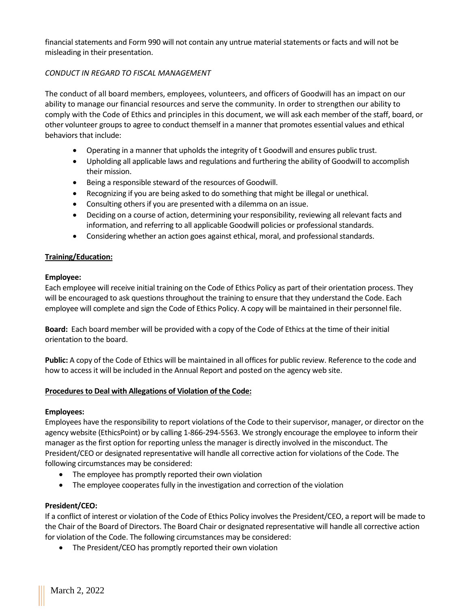financial statements and Form 990 will not contain any untrue material statements or facts and will not be misleading in their presentation.

#### *CONDUCT IN REGARD TO FISCAL MANAGEMENT*

The conduct of all board members, employees, volunteers, and officers of Goodwill has an impact on our ability to manage our financial resources and serve the community. In order to strengthen our ability to comply with the Code of Ethics and principles in this document, we will ask each member of the staff, board, or other volunteer groups to agree to conduct themself in a manner that promotes essential values and ethical behaviors that include:

- Operating in a manner that upholds the integrity of t Goodwill and ensures public trust.
- Upholding all applicable laws and regulations and furthering the ability of Goodwill to accomplish their mission.
- Being a responsible steward of the resources of Goodwill.
- Recognizing if you are being asked to do something that might be illegal or unethical.
- Consulting others if you are presented with a dilemma on an issue.
- Deciding on a course of action, determining your responsibility, reviewing all relevant facts and information, and referring to all applicable Goodwill policies or professional standards.
- Considering whether an action goes against ethical, moral, and professional standards.

#### **Training/Education:**

#### **Employee:**

Each employee will receive initial training on the Code of Ethics Policy as part of their orientation process. They will be encouraged to ask questions throughout the training to ensure that they understand the Code. Each employee will complete and sign the Code of Ethics Policy. A copy will be maintained in their personnel file.

**Board:** Each board member will be provided with a copy of the Code of Ethics at the time of their initial orientation to the board.

**Public:** A copy of the Code of Ethics will be maintained in all offices for public review. Reference to the code and how to access it will be included in the Annual Report and posted on the agency web site.

#### **Procedures to Deal with Allegations of Violation of the Code:**

#### **Employees:**

Employees have the responsibility to report violations of the Code to their supervisor, manager, or director on the agency website (EthicsPoint) or by calling 1-866-294-5563. We strongly encourage the employee to inform their manager as the first option for reporting unless the manager is directly involved in the misconduct. The President/CEO or designated representative will handle all corrective action for violations of the Code. The following circumstances may be considered:

- The employee has promptly reported their own violation
- The employee cooperates fully in the investigation and correction of the violation

#### **President/CEO:**

If a conflict of interest or violation of the Code of Ethics Policy involves the President/CEO, a report will be made to the Chair of the Board of Directors. The Board Chair or designated representative will handle all corrective action for violation of the Code. The following circumstances may be considered:

• The President/CEO has promptly reported their own violation